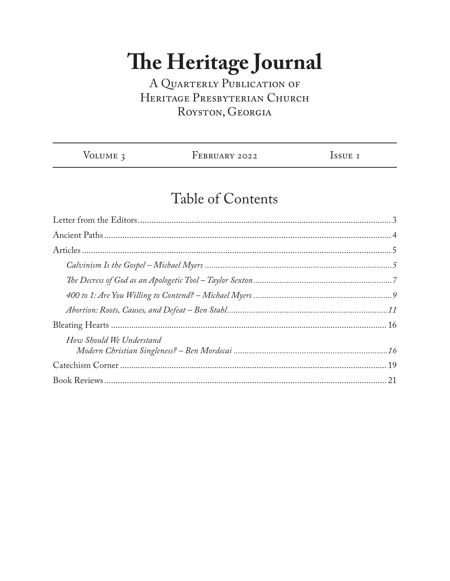### A QUARTERLY PUBLICATION OF HERITAGE PRESBYTERIAN CHURCH ROYSTON, GEORGIA

| VOLUME 3 | FEBRUARY 2022 | ISSUE I |
|----------|---------------|---------|
|          |               |         |

## Table of Contents

| How Should We Understand |  |
|--------------------------|--|
|                          |  |
|                          |  |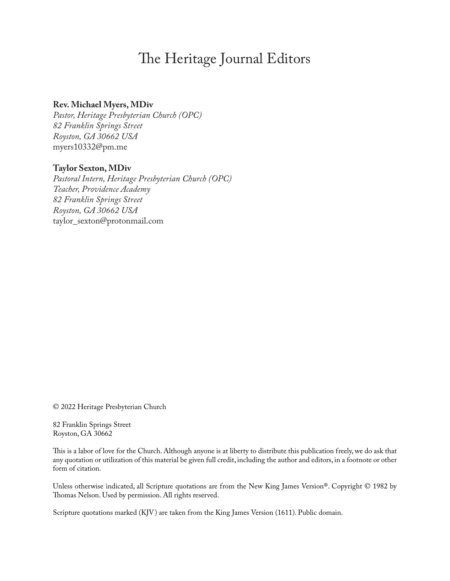### The Heritage Journal Editors

#### **Rev. Michael Myers, MDiv**

*Pastor, Heritage Presbyterian Church (OPC) 82 Franklin Springs Street Royston, GA 30662 USA* myers10332@pm.me

### **Taylor Sexton, MDiv**

*Pastoral Intern, Heritage Presbyterian Church (OPC) Teacher, Providence Academy 82 Franklin Springs Street Royston, GA 30662 USA* taylor\_sexton@protonmail.com

© 2022 Heritage Presbyterian Church

82 Franklin Springs Street Royston, GA 30662

This is a labor of love for the Church. Although anyone is at liberty to distribute this publication freely, we do ask that any quotation or utilization of this material be given full credit, including the author and editors, in a footnote or other form of citation.

Unless otherwise indicated, all Scripture quotations are from the New King James Version®. Copyright © 1982 by Thomas Nelson. Used by permission. All rights reserved.

Scripture quotations marked (KJV ) are taken from the King James Version (1611). Public domain.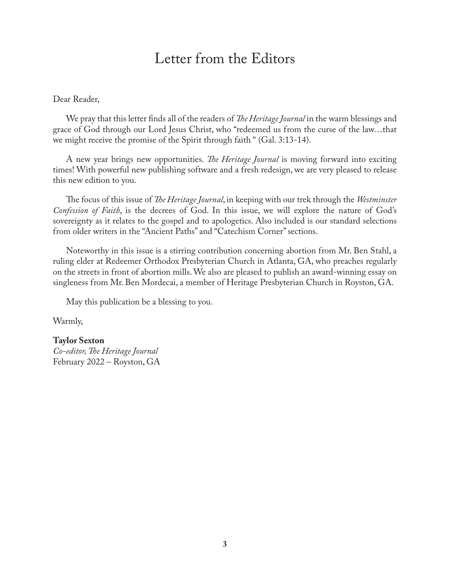### Letter from the Editors

#### Dear Reader,

We pray that this letter finds all of the readers of *The Heritage Journal* in the warm blessings and grace of God through our Lord Jesus Christ, who "redeemed us from the curse of the law…that we might receive the promise of the Spirit through faith " (Gal. 3:13-14).

A new year brings new opportunities. *The Heritage Journal* is moving forward into exciting times! With powerful new publishing software and a fresh redesign, we are very pleased to release this new edition to you.

The focus of this issue of *The Heritage Journal*, in keeping with our trek through the *Westminster Confession of Faith*, is the decrees of God. In this issue, we will explore the nature of God's sovereignty as it relates to the gospel and to apologetics. Also included is our standard selections from older writers in the "Ancient Paths" and "Catechism Corner" sections.

Noteworthy in this issue is a stirring contribution concerning abortion from Mr. Ben Stahl, a ruling elder at Redeemer Orthodox Presbyterian Church in Atlanta, GA, who preaches regularly on the streets in front of abortion mills.We also are pleased to publish an award-winning essay on singleness from Mr. Ben Mordecai, a member of Heritage Presbyterian Church in Royston, GA.

May this publication be a blessing to you.

Warmly,

#### **Taylor Sexton**

*Co-editor,The Heritage Journal* February 2022 – Royston, GA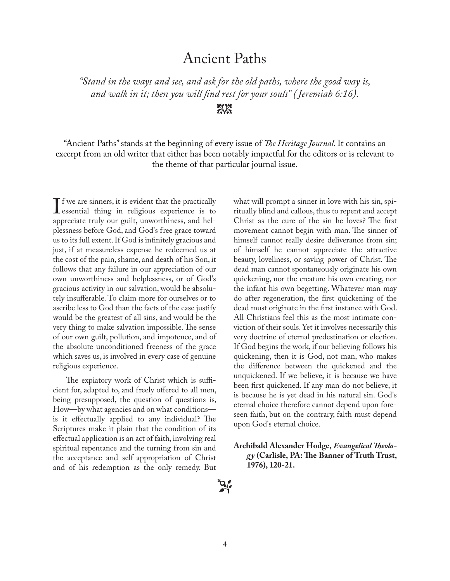### Ancient Paths

*"Stand in the ways and see, and ask for the old paths, where the good way is, and walk in it; then you will find rest for your souls" ( Jeremiah 6:16).*

 $X^*$ 

"Ancient Paths" stands at the beginning of every issue of *The Heritage Journal*. It contains an excerpt from an old writer that either has been notably impactful for the editors or is relevant to the theme of that particular journal issue.

If we are sinners, it is evident that the practically<br>essential thing in religious experience is to  $\blacksquare$  f we are sinners, it is evident that the practically appreciate truly our guilt, unworthiness, and helplessness before God, and God's free grace toward us to its full extent. If God is infinitely gracious and just, if at measureless expense he redeemed us at the cost of the pain, shame, and death of his Son, it follows that any failure in our appreciation of our own unworthiness and helplessness, or of God's gracious activity in our salvation, would be absolutely insufferable. To claim more for ourselves or to ascribe less to God than the facts of the case justify would be the greatest of all sins, and would be the very thing to make salvation impossible.The sense of our own guilt, pollution, and impotence, and of the absolute unconditioned freeness of the grace which saves us, is involved in every case of genuine religious experience.

The expiatory work of Christ which is sufficient for, adapted to, and freely offered to all men, being presupposed, the question of questions is, How—by what agencies and on what conditions is it effectually applied to any individual? The Scriptures make it plain that the condition of its effectual application is an act of faith, involving real spiritual repentance and the turning from sin and the acceptance and self-appropriation of Christ and of his redemption as the only remedy. But

what will prompt a sinner in love with his sin, spiritually blind and callous, thus to repent and accept Christ as the cure of the sin he loves? The first movement cannot begin with man. The sinner of himself cannot really desire deliverance from sin; of himself he cannot appreciate the attractive beauty, loveliness, or saving power of Christ. The dead man cannot spontaneously originate his own quickening, nor the creature his own creating, nor the infant his own begetting. Whatever man may do after regeneration, the first quickening of the dead must originate in the first instance with God. All Christians feel this as the most intimate conviction of their souls. Yet it involves necessarily this very doctrine of eternal predestination or election. If God begins the work, if our believing follows his quickening, then it is God, not man, who makes the difference between the quickened and the unquickened. If we believe, it is because we have been first quickened. If any man do not believe, it is because he is yet dead in his natural sin. God's eternal choice therefore cannot depend upon foreseen faith, but on the contrary, faith must depend upon God's eternal choice.

**Archibald Alexander Hodge,** *Evangelical Theology* **(Carlisle, PA:The Banner of Truth Trust, 1976), 120-21.**

 $\mathbf{B}$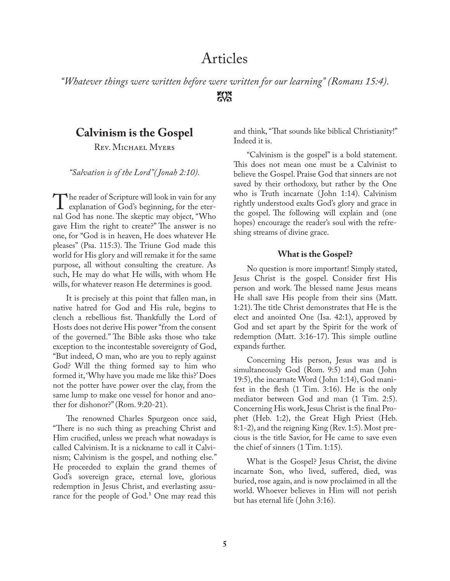### Articles

*"Whatever things were written before were written for our learning" (Romans 15:4).*  $\frac{1}{2}$ 

### **Calvinism is the Gospel**

REV. MICHAEL MYERS

*"Salvation is of the Lord"( Jonah 2:10).*

T he reader of Scripture will look in vain for any explanation of God's beginning, for the eternal God has none. The skeptic may object, "Who gave Him the right to create?" The answer is no one, for "God is in heaven, He does whatever He pleases" (Psa. 115:3). The Triune God made this world for His glory and will remake it for the same purpose, all without consulting the creature. As such, He may do what He wills, with whom He wills, for whatever reason He determines is good.

It is precisely at this point that fallen man, in native hatred for God and His rule, begins to clench a rebellious fist. Thankfully the Lord of Hosts does not derive His power "from the consent of the governed." The Bible asks those who take exception to the incontestable sovereignty of God, "But indeed, O man, who are you to reply against God? Will the thing formed say to him who formed it, 'Why have you made me like this?'Does not the potter have power over the clay, from the same lump to make one vessel for honor and another for dishonor?" (Rom. 9:20-21).

The renowned Charles Spurgeon once said, "There is no such thing as preaching Christ and Him crucified, unless we preach what nowadays is called Calvinism. It is a nickname to call it Calvinism; Calvinism is the gospel, and nothing else." He proceeded to explain the grand themes of God's sovereign grace, eternal love, glorious redemption in Jesus Christ, and everlasting assurance for the people of  $God<sup>1</sup>$ . One may read this

and think, "That sounds like biblical Christianity!" Indeed it is.

"Calvinism is the gospel" is a bold statement. This does not mean one must be a Calvinist to believe the Gospel. Praise God that sinners are not saved by their orthodoxy, but rather by the One who is Truth incarnate (John 1:14). Calvinism rightly understood exalts God's glory and grace in the gospel. The following will explain and (one hopes) encourage the reader's soul with the refreshing streams of divine grace.

#### **What is the Gospel?**

No question is more important! Simply stated, Jesus Christ is the gospel. Consider first His person and work. The blessed name Jesus means He shall save His people from their sins (Matt. 1:21).The title Christ demonstrates that He is the elect and anointed One (Isa. 42:1), approved by God and set apart by the Spirit for the work of redemption (Matt. 3:16-17). This simple outline expands further.

Concerning His person, Jesus was and is simultaneously God (Rom. 9:5) and man ( John 19:5), the incarnate Word ( John 1:14), God manifest in the flesh (1 Tim. 3:16). He is the only mediator between God and man (1 Tim. 2:5). Concerning His work, Jesus Christ is the final Prophet (Heb. 1:2), the Great High Priest (Heb. 8:1-2), and the reigning King (Rev. 1:5).Most precious is the title Savior, for He came to save even the chief of sinners (1 Tim. 1:15).

What is the Gospel? Jesus Christ, the divine incarnate Son, who lived, suffered, died, was buried, rose again, and is now proclaimed in all the world. Whoever believes in Him will not perish but has eternal life ( John 3:16).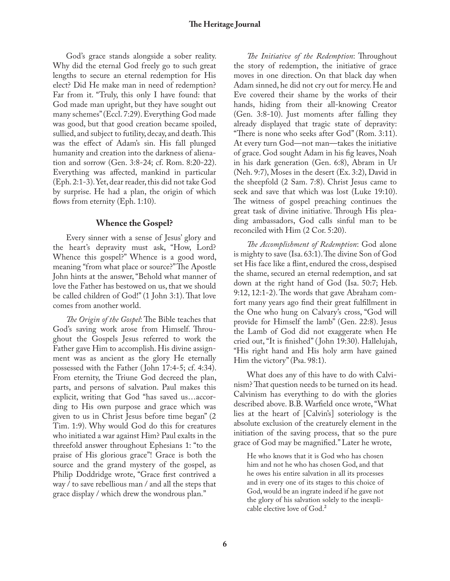God's grace stands alongside a sober reality. Why did the eternal God freely go to such great lengths to secure an eternal redemption for His elect? Did He make man in need of redemption? Far from it. "Truly, this only I have found: that God made man upright, but they have sought out many schemes" (Eccl. 7:29). Everything God made was good, but that good creation became spoiled, sullied, and subject to futility, decay, and death. This was the effect of Adam's sin. His fall plunged humanity and creation into the darkness of alienation and sorrow (Gen. 3:8-24; cf. Rom. 8:20-22). Everything was affected, mankind in particular (Eph. 2:1-3).Yet, dear reader, this did not take God by surprise. He had a plan, the origin of which flows from eternity (Eph. 1:10).

#### **Whence the Gospel?**

Every sinner with a sense of Jesus' glory and the heart's depravity must ask, "How, Lord? Whence this gospel?" Whence is a good word, meaning "from what place or source?"The Apostle John hints at the answer, "Behold what manner of love the Father has bestowed on us, that we should be called children of God!" (1 John 3:1).That love comes from another world.

*The Origin of the Gospel*: The Bible teaches that God's saving work arose from Himself. Throughout the Gospels Jesus referred to work the Father gave Him to accomplish. His divine assignment was as ancient as the glory He eternally possessed with the Father ( John 17:4-5; cf. 4:34). From eternity, the Triune God decreed the plan, parts, and persons of salvation. Paul makes this explicit, writing that God "has saved us…according to His own purpose and grace which was given to us in Christ Jesus before time began" (2 Tim. 1:9). Why would God do this for creatures who initiated a war against Him? Paul exalts in the threefold answer throughout Ephesians 1: "to the praise of His glorious grace"! Grace is both the source and the grand mystery of the gospel, as Philip Doddridge wrote, "Grace first contrived a way / to save rebellious man / and all the steps that grace display / which drew the wondrous plan."

*The Initiative of the Redemption*: Throughout the story of redemption, the initiative of grace moves in one direction. On that black day when Adam sinned, he did not cry out for mercy. He and Eve covered their shame by the works of their hands, hiding from their all-knowing Creator (Gen. 3:8-10). Just moments after falling they already displayed that tragic state of depravity: "There is none who seeks after God" (Rom. 3:11). At every turn God—not man—takes the initiative of grace. God sought Adam in his fig leaves, Noah in his dark generation (Gen. 6:8), Abram in Ur (Neh. 9:7), Moses in the desert (Ex. 3:2), David in the sheepfold (2 Sam. 7:8). Christ Jesus came to seek and save that which was lost (Luke 19:10). The witness of gospel preaching continues the great task of divine initiative. Through His pleading ambassadors, God calls sinful man to be reconciled with Him (2 Cor. 5:20).

*The Accomplishment of Redemption*: God alone is mighty to save (Isa. 63:1).The divine Son of God set His face like a flint, endured the cross, despised the shame, secured an eternal redemption, and sat down at the right hand of God (Isa. 50:7; Heb. 9:12, 12:1-2). The words that gave Abraham comfort many years ago find their great fulfillment in the One who hung on Calvary's cross, "God will provide for Himself the lamb" (Gen. 22:8). Jesus the Lamb of God did not exaggerate when He cried out, "It is finished" ( John 19:30). Hallelujah, "His right hand and His holy arm have gained Him the victory" (Psa. 98:1).

What does any of this have to do with Calvinism?That question needs to be turned on its head. Calvinism has everything to do with the glories described above. B.B. Warfield once wrote, "What lies at the heart of [Calvin's] soteriology is the absolute exclusion of the creaturely element in the initiation of the saving process, that so the pure grace of God may be magnified." Later he wrote,

He who knows that it is God who has chosen him and not he who has chosen God, and that he owes his entire salvation in all its processes and in every one of its stages to this choice of God, would be an ingrate indeed if he gave not the glory of his salvation solely to the inexplicable elective love of God.<sup>2</sup>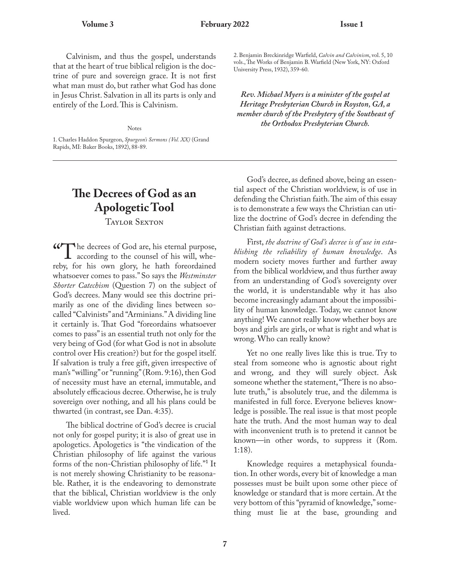Calvinism, and thus the gospel, understands that at the heart of true biblical religion is the doctrine of pure and sovereign grace. It is not first what man must do, but rather what God has done in Jesus Christ. Salvation in all its parts is only and entirely of the Lord.This is Calvinism.

Notes

1. Charles Haddon Spurgeon, *Spurgeon's Sermons (Vol. XX)* (Grand Rapids, MI: Baker Books, 1892), 88-89.

### **The Decrees of God as an Apologetic Tool**

TAYLOR SEXTON

"The decrees of God are, his eternal purpose, **1** according to the counsel of his will, whereby, for his own glory, he hath foreordained whatsoever comes to pass." So says the *Westminster Shorter Catechism* (Question 7) on the subject of God's decrees. Many would see this doctrine primarily as one of the dividing lines between socalled "Calvinists" and "Arminians."A dividing line it certainly is. That God "foreordains whatsoever comes to pass" is an essential truth not only for the very being of God (for what God is not in absolute control over His creation?) but for the gospel itself. If salvation is truly a free gift, given irrespective of man's "willing"or "running" (Rom. 9:16), then God of necessity must have an eternal, immutable, and absolutely efficacious decree. Otherwise, he is truly sovereign over nothing, and all his plans could be thwarted (in contrast, see Dan. 4:35).

The biblical doctrine of God's decree is crucial not only for gospel purity; it is also of great use in apologetics. Apologetics is "the vindication of the Christian philosophy of life against the various forms of the non-Christian philosophy of life."<sup>1</sup> It is not merely showing Christianity to be reasonable. Rather, it is the endeavoring to demonstrate that the biblical, Christian worldview is the only viable worldview upon which human life can be lived.

2. Benjamin Breckinridge Warfield, *Calvin and Calvinism*, vol. 5, 10 vols.,The Works of Benjamin B.Warfield (New York, NY: Oxford University Press, 1932), 359-60.

*Rev. Michael Myers is a minister of the gospel at Heritage Presbyterian Church in Royston, GA, a member church of the Presbytery of the Southeast of the Orthodox Presbyterian Church.*

God's decree, as defined above, being an essential aspect of the Christian worldview, is of use in defending the Christian faith.The aim of this essay is to demonstrate a few ways the Christian can utilize the doctrine of God's decree in defending the Christian faith against detractions.

First, *the doctrine of God's decree is of use in establishing the reliability of human knowledge*. As modern society moves further and further away from the biblical worldview, and thus further away from an understanding of God's sovereignty over the world, it is understandable why it has also become increasingly adamant about the impossibility of human knowledge. Today, we cannot know anything! We cannot really know whether boys are boys and girls are girls, or what is right and what is wrong.Who can really know?

Yet no one really lives like this is true. Try to steal from someone who is agnostic about right and wrong, and they will surely object. Ask someone whether the statement, "There is no absolute truth," is absolutely true, and the dilemma is manifested in full force. Everyone believes knowledge is possible.The real issue is that most people hate the truth. And the most human way to deal with inconvenient truth is to pretend it cannot be known—in other words, to suppress it (Rom. 1:18).

Knowledge requires a metaphysical foundation. In other words, every bit of knowledge a man possesses must be built upon some other piece of knowledge or standard that is more certain. At the very bottom of this "pyramid of knowledge," something must lie at the base, grounding and

**7**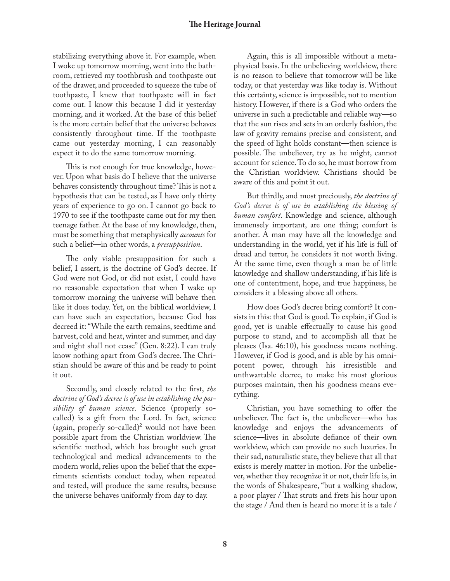stabilizing everything above it. For example, when I woke up tomorrow morning, went into the bathroom, retrieved my toothbrush and toothpaste out of the drawer, and proceeded to squeeze the tube of toothpaste, I knew that toothpaste will in fact come out. I know this because I did it yesterday morning, and it worked. At the base of this belief is the more certain belief that the universe behaves consistently throughout time. If the toothpaste came out yesterday morning, I can reasonably expect it to do the same tomorrow morning.

This is not enough for true knowledge, however. Upon what basis do I believe that the universe behaves consistently throughout time?This is not a hypothesis that can be tested, as I have only thirty years of experience to go on. I cannot go back to 1970 to see if the toothpaste came out for my then teenage father. At the base of my knowledge, then, must be something that metaphysically *accounts* for such a belief—in other words, a *presupposition*.

The only viable presupposition for such a belief, I assert, is the doctrine of God's decree. If God were not God, or did not exist, I could have no reasonable expectation that when I wake up tomorrow morning the universe will behave then like it does today. Yet, on the biblical worldview, I can have such an expectation, because God has decreed it: "While the earth remains, seedtime and harvest, cold and heat, winter and summer, and day and night shall not cease" (Gen. 8:22). I can truly know nothing apart from God's decree.The Christian should be aware of this and be ready to point it out.

Secondly, and closely related to the first, *the doctrine of God's decree is of use in establishing the possibility of human science*. Science (properly socalled) is a gift from the Lord. In fact, science (again, properly so-called)<sup>2</sup> would not have been possible apart from the Christian worldview. The scientific method, which has brought such great technological and medical advancements to the modern world, relies upon the belief that the experiments scientists conduct today, when repeated and tested, will produce the same results, because the universe behaves uniformly from day to day.

Again, this is all impossible without a metaphysical basis. In the unbelieving worldview, there is no reason to believe that tomorrow will be like today, or that yesterday was like today is. Without this certainty, science is impossible, not to mention history. However, if there is a God who orders the universe in such a predictable and reliable way—so that the sun rises and sets in an orderly fashion, the law of gravity remains precise and consistent, and the speed of light holds constant—then science is possible. The unbeliever, try as he might, cannot account for science.To do so, he must borrow from the Christian worldview. Christians should be aware of this and point it out.

But thirdly, and most preciously, *the doctrine of God's decree is of use in establishing the blessing of human comfort*. Knowledge and science, although immensely important, are one thing; comfort is another. A man may have all the knowledge and understanding in the world, yet if his life is full of dread and terror, he considers it not worth living. At the same time, even though a man be of little knowledge and shallow understanding, if his life is one of contentment, hope, and true happiness, he considers it a blessing above all others.

How does God's decree bring comfort? It consists in this: that God is good. To explain, if God is good, yet is unable effectually to cause his good purpose to stand, and to accomplish all that he pleases (Isa. 46:10), his goodness means nothing. However, if God is good, and is able by his omnipotent power, through his irresistible and unthwartable decree, to make his most glorious purposes maintain, then his goodness means everything.

Christian, you have something to offer the unbeliever. The fact is, the unbeliever—who has knowledge and enjoys the advancements of science—lives in absolute defiance of their own worldview, which can provide no such luxuries. In their sad, naturalistic state, they believe that all that exists is merely matter in motion. For the unbeliever, whether they recognize it or not, their life is, in the words of Shakespeare, "but a walking shadow, a poor player / That struts and frets his hour upon the stage / And then is heard no more: it is a tale /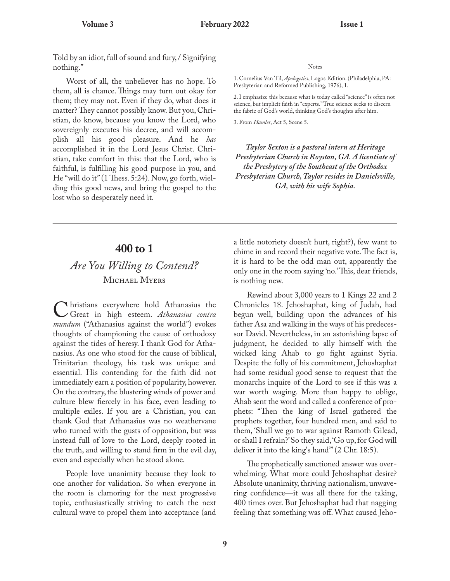Told by an idiot, full of sound and fury, / Signifying nothing."

Worst of all, the unbeliever has no hope. To them, all is chance. Things may turn out okay for them; they may not. Even if they do, what does it matter? They cannot possibly know. But you, Christian, do know, because you know the Lord, who sovereignly executes his decree, and will accomplish all his good pleasure. And he *has* accomplished it in the Lord Jesus Christ. Christian, take comfort in this: that the Lord, who is faithful, is fulfilling his good purpose in you, and He "will do it" (1 Thess. 5:24). Now, go forth, wielding this good news, and bring the gospel to the lost who so desperately need it.

#### Notes

1. Cornelius Van Til, *Apologetics*, Logos Edition. (Philadelphia, PA: Presbyterian and Reformed Publishing, 1976), 1.

2. I emphasize this because what is today called "science" is often not science, but implicit faith in "experts."True science seeks to discern the fabric of God's world, thinking God's thoughts after him.

3. From *Hamlet*, Act 5, Scene 5.

*Taylor Sexton is a pastoral intern at Heritage Presbyterian Church in Royston, GA. A licentiate of the Presbytery of the Southeast of the Orthodox Presbyterian Church,Taylor resides in Danielsville, GA, with his wife Sophia.*

### **400 to 1**

### *Are You Willing to Contend?* MICHAEL MYERS

C hristians everywhere hold Athanasius the<br>Great in high esteem. Athanasius contra Great in high esteem. *Athanasius contra mundum* ("Athanasius against the world") evokes thoughts of championing the cause of orthodoxy against the tides of heresy. I thank God for Athanasius. As one who stood for the cause of biblical, Trinitarian theology, his task was unique and essential. His contending for the faith did not immediately earn a position of popularity, however. On the contrary, the blustering winds of power and culture blew fiercely in his face, even leading to multiple exiles. If you are a Christian, you can thank God that Athanasius was no weathervane who turned with the gusts of opposition, but was instead full of love to the Lord, deeply rooted in the truth, and willing to stand firm in the evil day, even and especially when he stood alone.

People love unanimity because they look to one another for validation. So when everyone in the room is clamoring for the next progressive topic, enthusiastically striving to catch the next cultural wave to propel them into acceptance (and a little notoriety doesn't hurt, right?), few want to chime in and record their negative vote.The fact is, it is hard to be the odd man out, apparently the only one in the room saying 'no.'This, dear friends, is nothing new.

Rewind about 3,000 years to 1 Kings 22 and 2 Chronicles 18. Jehoshaphat, king of Judah, had begun well, building upon the advances of his father Asa and walking in the ways of his predecessor David. Nevertheless, in an astonishing lapse of judgment, he decided to ally himself with the wicked king Ahab to go fight against Syria. Despite the folly of his commitment, Jehoshaphat had some residual good sense to request that the monarchs inquire of the Lord to see if this was a war worth waging. More than happy to oblige, Ahab sent the word and called a conference of prophets: "Then the king of Israel gathered the prophets together, four hundred men, and said to them, 'Shall we go to war against Ramoth Gilead, or shall I refrain?' So they said, 'Go up, for God will deliver it into the king's hand'" (2 Chr. 18:5).

The prophetically sanctioned answer was overwhelming. What more could Jehoshaphat desire? Absolute unanimity, thriving nationalism, unwavering confidence—it was all there for the taking, 400 times over. But Jehoshaphat had that nagging feeling that something was off.What caused Jeho-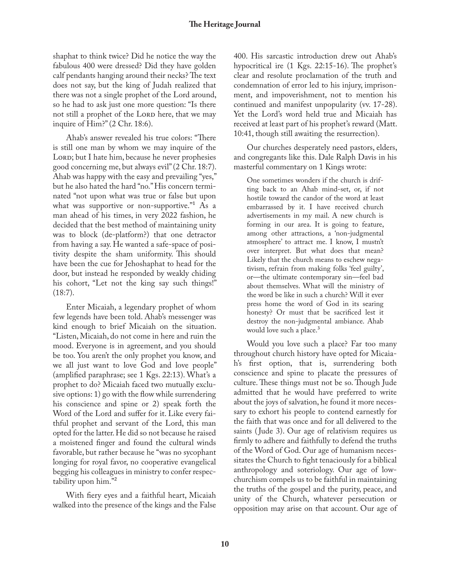shaphat to think twice? Did he notice the way the fabulous 400 were dressed? Did they have golden calf pendants hanging around their necks? The text does not say, but the king of Judah realized that there was not a single prophet of the Lord around, so he had to ask just one more question: "Is there not still a prophet of the LORD here, that we may inquire of Him?" (2 Chr. 18:6).

Ahab's answer revealed his true colors: "There is still one man by whom we may inquire of the LORD; but I hate him, because he never prophesies good concerning me, but always evil" (2 Chr. 18:7). Ahab was happy with the easy and prevailing "yes," but he also hated the hard "no."His concern terminated "not upon what was true or false but upon what was supportive or non-supportive."<sup>1</sup> As a man ahead of his times, in very 2022 fashion, he decided that the best method of maintaining unity was to block (de-platform?) that one detractor from having a say. He wanted a safe-space of positivity despite the sham uniformity. This should have been the cue for Jehoshaphat to head for the door, but instead he responded by weakly chiding his cohort, "Let not the king say such things!" (18:7).

Enter Micaiah, a legendary prophet of whom few legends have been told. Ahab's messenger was kind enough to brief Micaiah on the situation. "Listen, Micaiah, do not come in here and ruin the mood. Everyone is in agreement, and you should be too. You aren't the only prophet you know, and we all just want to love God and love people" (amplified paraphrase; see 1 Kgs. 22:13). What's a prophet to do? Micaiah faced two mutually exclusive options: 1) go with the flow while surrendering his conscience and spine or 2) speak forth the Word of the Lord and suffer for it. Like every faithful prophet and servant of the Lord, this man opted for the latter.He did so not because he raised a moistened finger and found the cultural winds favorable, but rather because he "was no sycophant longing for royal favor, no cooperative evangelical begging his colleagues in ministry to confer respectability upon him."<sup>2</sup>

With fiery eyes and a faithful heart, Micaiah walked into the presence of the kings and the False

400. His sarcastic introduction drew out Ahab's hypocritical ire (1 Kgs. 22:15-16). The prophet's clear and resolute proclamation of the truth and condemnation of error led to his injury, imprisonment, and impoverishment, not to mention his continued and manifest unpopularity (vv. 17-28). Yet the Lord's word held true and Micaiah has received at least part of his prophet's reward (Matt. 10:41, though still awaiting the resurrection).

Our churches desperately need pastors, elders, and congregants like this. Dale Ralph Davis in his masterful commentary on 1 Kings wrote:

One sometimes wonders if the church is drifting back to an Ahab mind-set, or, if not hostile toward the candor of the word at least embarrassed by it. I have received church advertisements in my mail. A new church is forming in our area. It is going to feature, among other attractions, a 'non-judgmental atmosphere' to attract me. I know, I mustn't over interpret. But what does that mean? Likely that the church means to eschew negativism, refrain from making folks 'feel guilty', or—the ultimate contemporary sin—feel bad about themselves. What will the ministry of the word be like in such a church? Will it ever press home the word of God in its searing honesty? Or must that be sacrificed lest it destroy the non-judgmental ambiance. Ahab would love such a place.<sup>3</sup>

Would you love such a place? Far too many throughout church history have opted for Micaiah's first option, that is, surrendering both conscience and spine to placate the pressures of culture. These things must not be so. Though Jude admitted that he would have preferred to write about the joys of salvation, he found it more necessary to exhort his people to contend earnestly for the faith that was once and for all delivered to the saints (Jude 3). Our age of relativism requires us firmly to adhere and faithfully to defend the truths of the Word of God. Our age of humanism necessitates the Church to fight tenaciously for a biblical anthropology and soteriology. Our age of lowchurchism compels us to be faithful in maintaining the truths of the gospel and the purity, peace, and unity of the Church, whatever persecution or opposition may arise on that account. Our age of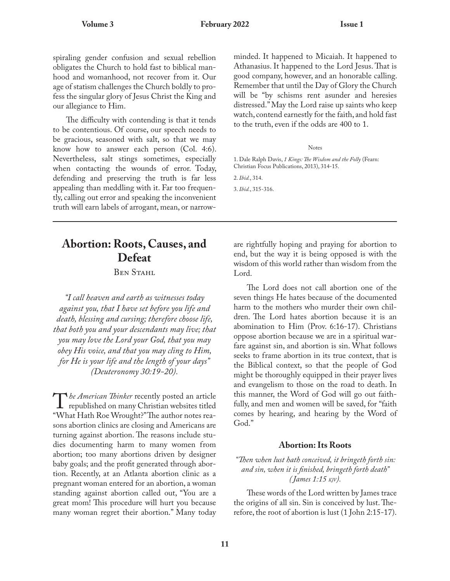spiraling gender confusion and sexual rebellion obligates the Church to hold fast to biblical manhood and womanhood, not recover from it. Our age of statism challenges the Church boldly to profess the singular glory of Jesus Christ the King and our allegiance to Him.

The difficulty with contending is that it tends to be contentious. Of course, our speech needs to be gracious, seasoned with salt, so that we may know how to answer each person (Col. 4:6). Nevertheless, salt stings sometimes, especially when contacting the wounds of error. Today, defending and preserving the truth is far less appealing than meddling with it. Far too frequently, calling out error and speaking the inconvenient truth will earn labels of arrogant, mean, or narrowminded. It happened to Micaiah. It happened to Athanasius. It happened to the Lord Jesus.That is good company, however, and an honorable calling. Remember that until the Day of Glory the Church will be "by schisms rent asunder and heresies distressed."May the Lord raise up saints who keep watch, contend earnestly for the faith, and hold fast to the truth, even if the odds are 400 to 1.

#### Notes

1. Dale Ralph Davis, *1 Kings:The Wisdom and the Folly* (Fearn: Christian Focus Publications, 2013), 314-15. 2. *Ibid.*, 314.

3. *Ibid.*, 315-316.

### **Abortion: Roots, Causes, and Defeat**

BEN STAHL

*"I call heaven and earth as witnesses today against you, that I have set before you life and death, blessing and cursing; therefore choose life, that both you and your descendants may live; that you may love the Lord your God, that you may obey His voice, and that you may cling to Him, for He is your life and the length of your days" (Deuteronomy 30:19-20).*

The American Thinker recently posted an article<br>republished on many Christian websites titled<br>"WHO MAN DOWN" *he American Thinker* recently posted an article "What Hath Roe Wrought?"The author notes reasons abortion clinics are closing and Americans are turning against abortion. The reasons include studies documenting harm to many women from abortion; too many abortions driven by designer baby goals; and the profit generated through abortion. Recently, at an Atlanta abortion clinic as a pregnant woman entered for an abortion, a woman standing against abortion called out, "You are a great mom! This procedure will hurt you because many woman regret their abortion." Many today are rightfully hoping and praying for abortion to end, but the way it is being opposed is with the wisdom of this world rather than wisdom from the Lord.

The Lord does not call abortion one of the seven things He hates because of the documented harm to the mothers who murder their own children. The Lord hates abortion because it is an abomination to Him (Prov. 6:16-17). Christians oppose abortion because we are in a spiritual warfare against sin, and abortion is sin. What follows seeks to frame abortion in its true context, that is the Biblical context, so that the people of God might be thoroughly equipped in their prayer lives and evangelism to those on the road to death. In this manner, the Word of God will go out faithfully, and men and women will be saved, for "faith comes by hearing, and hearing by the Word of God."

#### **Abortion: Its Roots**

#### *"Then when lust hath conceived, it bringeth forth sin: and sin, when it is finished, bringeth forth death" ( James 1:15 KJV).*

These words of the Lord written by James trace the origins of all sin. Sin is conceived by lust.Therefore, the root of abortion is lust (1 John 2:15-17).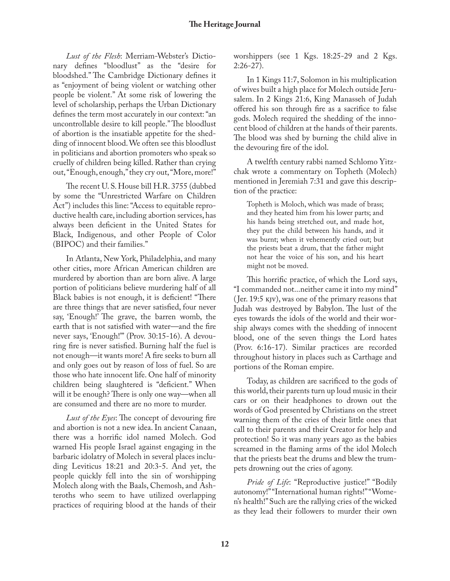*Lust of the Flesh*: Merriam-Webster's Dictionary defines "bloodlust" as the "desire for bloodshed." The Cambridge Dictionary defines it as "enjoyment of being violent or watching other people be violent." At some risk of lowering the level of scholarship, perhaps the Urban Dictionary defines the term most accurately in our context: "an uncontrollable desire to kill people."The bloodlust of abortion is the insatiable appetite for the shedding of innocent blood.We often see this bloodlust in politicians and abortion promoters who speak so cruelly of children being killed. Rather than crying out, "Enough, enough," they cry out, "More, more!"

The recent U. S. House bill H.R. 3755 (dubbed by some the "Unrestricted Warfare on Children Act") includes this line: "Access to equitable reproductive health care, including abortion services, has always been deficient in the United States for Black, Indigenous, and other People of Color (BIPOC) and their families."

In Atlanta, New York, Philadelphia, and many other cities, more African American children are murdered by abortion than are born alive. A large portion of politicians believe murdering half of all Black babies is not enough, it is deficient! "There are three things that are never satisfied, four never say, 'Enough!' The grave, the barren womb, the earth that is not satisfied with water—and the fire never says, 'Enough!'" (Prov. 30:15-16). A devouring fire is never satisfied. Burning half the fuel is not enough—it wants more! A fire seeks to burn all and only goes out by reason of loss of fuel. So are those who hate innocent life. One half of minority children being slaughtered is "deficient." When will it be enough? There is only one way—when all are consumed and there are no more to murder.

*Lust of the Eyes*: The concept of devouring fire and abortion is not a new idea. In ancient Canaan, there was a horrific idol named Molech. God warned His people Israel against engaging in the barbaric idolatry of Molech in several places including Leviticus 18:21 and 20:3-5. And yet, the people quickly fell into the sin of worshipping Molech along with the Baals, Chemosh, and Ashteroths who seem to have utilized overlapping practices of requiring blood at the hands of their worshippers (see 1 Kgs. 18:25-29 and 2 Kgs. 2:26-27).

In 1 Kings 11:7, Solomon in his multiplication of wives built a high place for Molech outside Jerusalem. In 2 Kings 21:6, King Manasseh of Judah offered his son through fire as a sacrifice to false gods. Molech required the shedding of the innocent blood of children at the hands of their parents. The blood was shed by burning the child alive in the devouring fire of the idol.

A twelfth century rabbi named Schlomo Yitzchak wrote a commentary on Topheth (Molech) mentioned in Jeremiah 7:31 and gave this description of the practice:

Topheth is Moloch, which was made of brass; and they heated him from his lower parts; and his hands being stretched out, and made hot, they put the child between his hands, and it was burnt; when it vehemently cried out; but the priests beat a drum, that the father might not hear the voice of his son, and his heart might not be moved.

This horrific practice, of which the Lord says, "I commanded not...neither came it into my mind" ( Jer. 19:5 KJV), was one of the primary reasons that Judah was destroyed by Babylon. The lust of the eyes towards the idols of the world and their worship always comes with the shedding of innocent blood, one of the seven things the Lord hates (Prov. 6:16-17). Similar practices are recorded throughout history in places such as Carthage and portions of the Roman empire.

Today, as children are sacrificed to the gods of this world, their parents turn up loud music in their cars or on their headphones to drown out the words of God presented by Christians on the street warning them of the cries of their little ones that call to their parents and their Creator for help and protection! So it was many years ago as the babies screamed in the flaming arms of the idol Molech that the priests beat the drums and blew the trumpets drowning out the cries of agony.

*Pride of Life*: "Reproductive justice!" "Bodily autonomy!" "International human rights!" "Women's health!" Such are the rallying cries of the wicked as they lead their followers to murder their own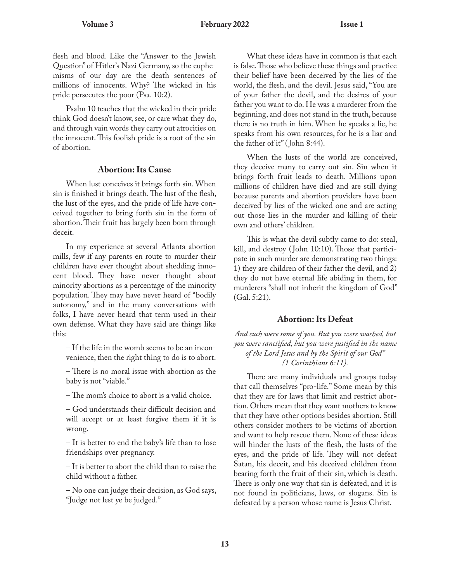flesh and blood. Like the "Answer to the Jewish Question" of Hitler's Nazi Germany, so the euphemisms of our day are the death sentences of millions of innocents. Why? The wicked in his pride persecutes the poor (Psa. 10:2).

Psalm 10 teaches that the wicked in their pride think God doesn't know, see, or care what they do, and through vain words they carry out atrocities on the innocent.This foolish pride is a root of the sin of abortion.

#### **Abortion: Its Cause**

When lust conceives it brings forth sin.When sin is finished it brings death.The lust of the flesh, the lust of the eyes, and the pride of life have conceived together to bring forth sin in the form of abortion.Their fruit has largely been born through deceit.

In my experience at several Atlanta abortion mills, few if any parents en route to murder their children have ever thought about shedding innocent blood. They have never thought about minority abortions as a percentage of the minority population. They may have never heard of "bodily autonomy," and in the many conversations with folks, I have never heard that term used in their own defense. What they have said are things like this:

– If the life in the womb seems to be an inconvenience, then the right thing to do is to abort.

– There is no moral issue with abortion as the baby is not "viable."

– The mom's choice to abort is a valid choice.

– God understands their difficult decision and will accept or at least forgive them if it is wrong.

– It is better to end the baby's life than to lose friendships over pregnancy.

– It is better to abort the child than to raise the child without a father.

– No one can judge their decision, as God says, "Judge not lest ye be judged."

What these ideas have in common is that each is false.Those who believe these things and practice their belief have been deceived by the lies of the world, the flesh, and the devil. Jesus said, "You are of your father the devil, and the desires of your father you want to do. He was a murderer from the beginning, and does not stand in the truth, because there is no truth in him. When he speaks a lie, he speaks from his own resources, for he is a liar and the father of it" ( John 8:44).

When the lusts of the world are conceived, they deceive many to carry out sin. Sin when it brings forth fruit leads to death. Millions upon millions of children have died and are still dying because parents and abortion providers have been deceived by lies of the wicked one and are acting out those lies in the murder and killing of their own and others' children.

This is what the devil subtly came to do: steal, kill, and destroy ( John 10:10). Those that participate in such murder are demonstrating two things: 1) they are children of their father the devil, and 2) they do not have eternal life abiding in them, for murderers "shall not inherit the kingdom of God" (Gal. 5:21).

#### **Abortion: Its Defeat**

*And such were some of you. But you were washed, but you were sanctified, but you were justified in the name of the Lord Jesus and by the Spirit of our God" (1 Corinthians 6:11).*

There are many individuals and groups today that call themselves "pro-life." Some mean by this that they are for laws that limit and restrict abortion. Others mean that they want mothers to know that they have other options besides abortion. Still others consider mothers to be victims of abortion and want to help rescue them. None of these ideas will hinder the lusts of the flesh, the lusts of the eyes, and the pride of life. They will not defeat Satan, his deceit, and his deceived children from bearing forth the fruit of their sin, which is death. There is only one way that sin is defeated, and it is not found in politicians, laws, or slogans. Sin is defeated by a person whose name is Jesus Christ.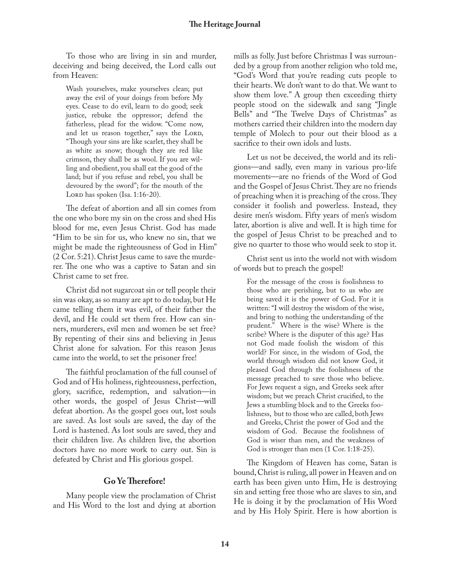To those who are living in sin and murder, deceiving and being deceived, the Lord calls out from Heaven:

Wash yourselves, make yourselves clean; put away the evil of your doings from before My eyes. Cease to do evil, learn to do good; seek justice, rebuke the oppressor; defend the fatherless, plead for the widow. "Come now, and let us reason together," says the LORD, "Though your sins are like scarlet, they shall be as white as snow; though they are red like crimson, they shall be as wool. If you are willing and obedient, you shall eat the good of the land; but if you refuse and rebel, you shall be devoured by the sword"; for the mouth of the LORD has spoken (Isa. 1:16-20).

The defeat of abortion and all sin comes from the one who bore my sin on the cross and shed His blood for me, even Jesus Christ. God has made "Him to be sin for us, who knew no sin, that we might be made the righteousness of God in Him" (2 Cor. 5:21). Christ Jesus came to save the murderer. The one who was a captive to Satan and sin Christ came to set free.

Christ did not sugarcoat sin or tell people their sin was okay, as so many are apt to do today, but He came telling them it was evil, of their father the devil, and He could set them free. How can sinners, murderers, evil men and women be set free? By repenting of their sins and believing in Jesus Christ alone for salvation. For this reason Jesus came into the world, to set the prisoner free!

The faithful proclamation of the full counsel of God and of His holiness, righteousness, perfection, glory, sacrifice, redemption, and salvation—in other words, the gospel of Jesus Christ—will defeat abortion. As the gospel goes out, lost souls are saved. As lost souls are saved, the day of the Lord is hastened. As lost souls are saved, they and their children live. As children live, the abortion doctors have no more work to carry out. Sin is defeated by Christ and His glorious gospel.

#### **Go YeTherefore!**

Many people view the proclamation of Christ and His Word to the lost and dying at abortion mills as folly. Just before Christmas I was surrounded by a group from another religion who told me, "God's Word that you're reading cuts people to their hearts. We don't want to do that. We want to show them love." A group then exceeding thirty people stood on the sidewalk and sang "Jingle Bells" and "The Twelve Days of Christmas" as mothers carried their children into the modern day temple of Molech to pour out their blood as a sacrifice to their own idols and lusts.

Let us not be deceived, the world and its religions—and sadly, even many in various pro-life movements—are no friends of the Word of God and the Gospel of Jesus Christ.They are no friends of preaching when it is preaching of the cross.They consider it foolish and powerless. Instead, they desire men's wisdom. Fifty years of men's wisdom later, abortion is alive and well. It is high time for the gospel of Jesus Christ to be preached and to give no quarter to those who would seek to stop it.

Christ sent us into the world not with wisdom of words but to preach the gospel!

For the message of the cross is foolishness to those who are perishing, but to us who are being saved it is the power of God. For it is written: "I will destroy the wisdom of the wise, and bring to nothing the understanding of the prudent." Where is the wise? Where is the scribe? Where is the disputer of this age? Has not God made foolish the wisdom of this world? For since, in the wisdom of God, the world through wisdom did not know God, it pleased God through the foolishness of the message preached to save those who believe. For Jews request a sign, and Greeks seek after wisdom; but we preach Christ crucified, to the Jews a stumbling block and to the Greeks foolishness, but to those who are called, both Jews and Greeks, Christ the power of God and the wisdom of God. Because the foolishness of God is wiser than men, and the weakness of God is stronger than men (1 Cor. 1:18-25).

The Kingdom of Heaven has come, Satan is bound, Christ is ruling, all power in Heaven and on earth has been given unto Him, He is destroying sin and setting free those who are slaves to sin, and He is doing it by the proclamation of His Word and by His Holy Spirit. Here is how abortion is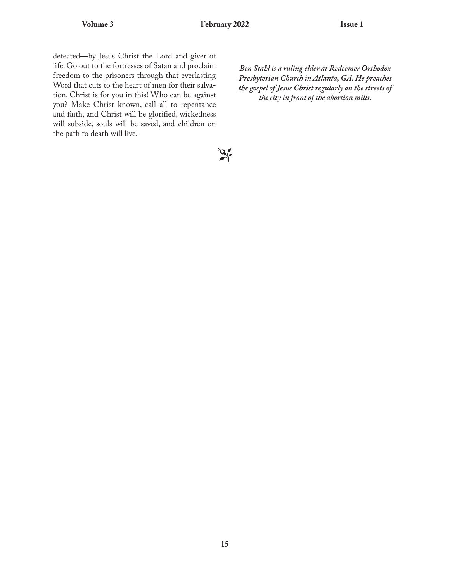defeated—by Jesus Christ the Lord and giver of life. Go out to the fortresses of Satan and proclaim freedom to the prisoners through that everlasting Word that cuts to the heart of men for their salvation. Christ is for you in this! Who can be against you? Make Christ known, call all to repentance and faith, and Christ will be glorified, wickedness will subside, souls will be saved, and children on the path to death will live.

*Ben Stahl is a ruling elder at Redeemer Orthodox Presbyterian Church in Atlanta, GA. He preaches the gospel of Jesus Christ regularly on the streets of the city in front of the abortion mills.*

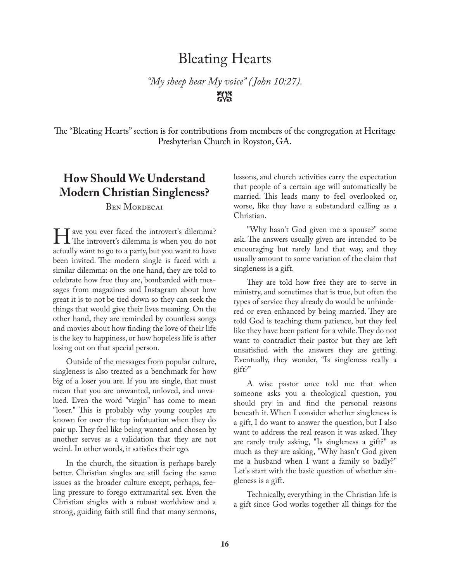### Bleating Hearts

*"My sheep hear My voice" ( John 10:27).*  $\mathbb{X}$ 

The "Bleating Hearts" section is for contributions from members of the congregation at Heritage Presbyterian Church in Royston, GA.

### **How Should We Understand Modern Christian Singleness?**

BEN MORDECAI

The introvert's dilemma?<br>The introvert's dilemma is when you do not T ave you ever faced the introvert's dilemma? actually want to go to a party, but you want to have been invited. The modern single is faced with a similar dilemma: on the one hand, they are told to celebrate how free they are, bombarded with messages from magazines and Instagram about how great it is to not be tied down so they can seek the things that would give their lives meaning. On the other hand, they are reminded by countless songs and movies about how finding the love of their life is the key to happiness, or how hopeless life is after losing out on that special person.

Outside of the messages from popular culture, singleness is also treated as a benchmark for how big of a loser you are. If you are single, that must mean that you are unwanted, unloved, and unvalued. Even the word "virgin" has come to mean "loser." This is probably why young couples are known for over-the-top infatuation when they do pair up.They feel like being wanted and chosen by another serves as a validation that they are not weird. In other words, it satisfies their ego.

In the church, the situation is perhaps barely better. Christian singles are still facing the same issues as the broader culture except, perhaps, feeling pressure to forego extramarital sex. Even the Christian singles with a robust worldview and a strong, guiding faith still find that many sermons, lessons, and church activities carry the expectation that people of a certain age will automatically be married. This leads many to feel overlooked or, worse, like they have a substandard calling as a Christian.

"Why hasn't God given me a spouse?" some ask. The answers usually given are intended to be encouraging but rarely land that way, and they usually amount to some variation of the claim that singleness is a gift.

They are told how free they are to serve in ministry, and sometimes that is true, but often the types of service they already do would be unhindered or even enhanced by being married. They are told God is teaching them patience, but they feel like they have been patient for a while.They do not want to contradict their pastor but they are left unsatisfied with the answers they are getting. Eventually, they wonder, "Is singleness really a gift?"

A wise pastor once told me that when someone asks you a theological question, you should pry in and find the personal reasons beneath it. When I consider whether singleness is a gift, I do want to answer the question, but I also want to address the real reason it was asked. They are rarely truly asking, "Is singleness a gift?" as much as they are asking, "Why hasn't God given me a husband when I want a family so badly?" Let's start with the basic question of whether singleness is a gift.

Technically, everything in the Christian life is a gift since God works together all things for the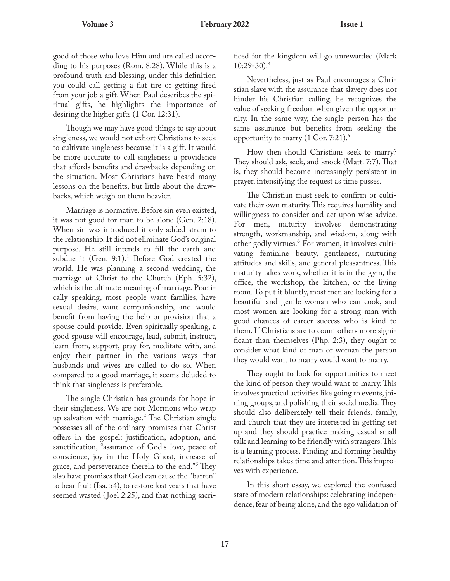good of those who love Him and are called according to his purposes (Rom. 8:28). While this is a profound truth and blessing, under this definition you could call getting a flat tire or getting fired from your job a gift. When Paul describes the spiritual gifts, he highlights the importance of desiring the higher gifts (1 Cor. 12:31).

Though we may have good things to say about singleness, we would not exhort Christians to seek to cultivate singleness because it is a gift. It would be more accurate to call singleness a providence that affords benefits and drawbacks depending on the situation. Most Christians have heard many lessons on the benefits, but little about the drawbacks, which weigh on them heavier.

Marriage is normative. Before sin even existed, it was not good for man to be alone (Gen. 2:18). When sin was introduced it only added strain to the relationship. It did not eliminate God's original purpose. He still intends to fill the earth and subdue it  $(Gen. 9:1).$ <sup>1</sup> Before God created the world, He was planning a second wedding, the marriage of Christ to the Church (Eph. 5:32), which is the ultimate meaning of marriage. Practically speaking, most people want families, have sexual desire, want companionship, and would benefit from having the help or provision that a spouse could provide. Even spiritually speaking, a good spouse will encourage, lead, submit, instruct, learn from, support, pray for, meditate with, and enjoy their partner in the various ways that husbands and wives are called to do so. When compared to a good marriage, it seems deluded to think that singleness is preferable.

The single Christian has grounds for hope in their singleness. We are not Mormons who wrap up salvation with marriage.<sup>2</sup> The Christian single possesses all of the ordinary promises that Christ offers in the gospel: justification, adoption, and sanctification, "assurance of God's love, peace of conscience, joy in the Holy Ghost, increase of grace, and perseverance therein to the end."<sup>3</sup> They also have promises that God can cause the "barren" to bear fruit (Isa. 54), to restore lost years that have seemed wasted (Joel 2:25), and that nothing sacrificed for the kingdom will go unrewarded (Mark  $10:29-30$ <sup>4</sup>

Nevertheless, just as Paul encourages a Christian slave with the assurance that slavery does not hinder his Christian calling, he recognizes the value of seeking freedom when given the opportunity. In the same way, the single person has the same assurance but benefits from seeking the opportunity to marry  $(1 \text{ Cor. } 7:21).$ <sup>5</sup>

How then should Christians seek to marry? They should ask, seek, and knock (Matt. 7:7). That is, they should become increasingly persistent in prayer, intensifying the request as time passes.

The Christian must seek to confirm or cultivate their own maturity.This requires humility and willingness to consider and act upon wise advice. For men, maturity involves demonstrating strength, workmanship, and wisdom, along with other godly virtues.<sup>6</sup> For women, it involves cultivating feminine beauty, gentleness, nurturing attitudes and skills, and general pleasantness. This maturity takes work, whether it is in the gym, the office, the workshop, the kitchen, or the living room. To put it bluntly, most men are looking for a beautiful and gentle woman who can cook, and most women are looking for a strong man with good chances of career success who is kind to them. If Christians are to count others more significant than themselves (Php. 2:3), they ought to consider what kind of man or woman the person they would want to marry would want to marry.

They ought to look for opportunities to meet the kind of person they would want to marry.This involves practical activities like going to events, joining groups, and polishing their social media.They should also deliberately tell their friends, family, and church that they are interested in getting set up and they should practice making casual small talk and learning to be friendly with strangers.This is a learning process. Finding and forming healthy relationships takes time and attention.This improves with experience.

In this short essay, we explored the confused state of modern relationships: celebrating independence, fear of being alone, and the ego validation of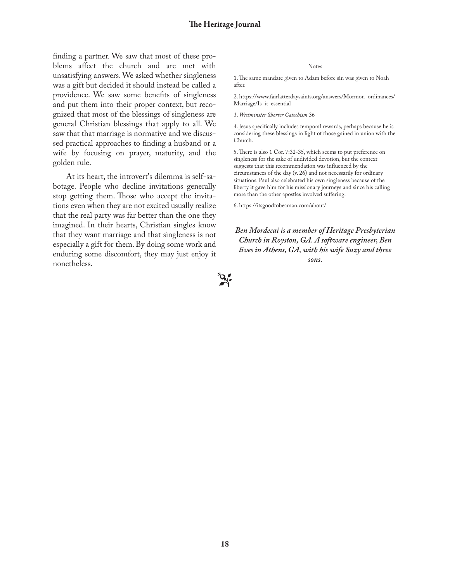finding a partner. We saw that most of these problems affect the church and are met with unsatisfying answers.We asked whether singleness was a gift but decided it should instead be called a providence. We saw some benefits of singleness and put them into their proper context, but recognized that most of the blessings of singleness are general Christian blessings that apply to all. We saw that that marriage is normative and we discussed practical approaches to finding a husband or a wife by focusing on prayer, maturity, and the golden rule.

At its heart, the introvert's dilemma is self-sabotage. People who decline invitations generally stop getting them. Those who accept the invitations even when they are not excited usually realize that the real party was far better than the one they imagined. In their hearts, Christian singles know that they want marriage and that singleness is not especially a gift for them. By doing some work and enduring some discomfort, they may just enjoy it nonetheless.

#### Notes

1.The same mandate given to Adam before sin was given to Noah after.

2. https://www.fairlatterdaysaints.org/answers/Mormon\_ordinances/ Marriage/Is\_it\_essential

#### 3. *Westminster Shorter Catechism* 36

4. Jesus specifically includes temporal rewards, perhaps because he is considering these blessings in light of those gained in union with the Church.

5.There is also 1 Cor. 7:32-35, which seems to put preference on singleness for the sake of undivided devotion, but the context suggests that this recommendation was influenced by the circumstances of the day (v. 26) and not necessarily for ordinary situations. Paul also celebrated his own singleness because of the liberty it gave him for his missionary journeys and since his calling more than the other apostles involved suffering.

6. https://itsgoodtobeaman.com/about/

*Ben Mordecai is a member of Heritage Presbyterian Church in Royston, GA. A software engineer, Ben lives in Athens, GA, with his wife Suzy and three sons.*

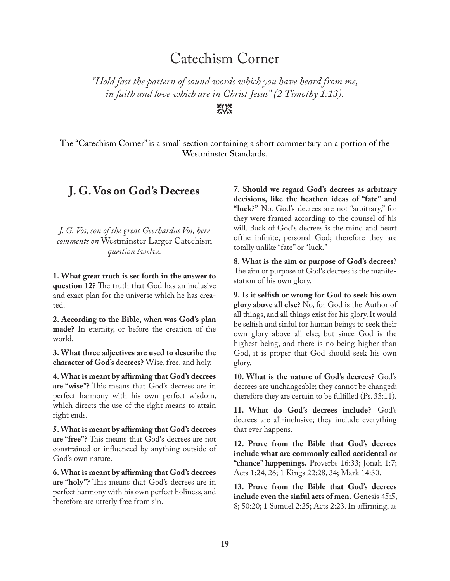### Catechism Corner

*"Hold fast the pattern of sound words which you have heard from me, in faith and love which are in Christ Jesus" (2 Timothy 1:13).*

 $X^*$ 

The "Catechism Corner" is a small section containing a short commentary on a portion of the Westminster Standards.

### **J. G. Vos on God's Decrees**

*J. G. Vos, son of the great Geerhardus Vos, here comments on* Westminster Larger Catechism *question twelve.*

**1. What great truth is set forth in the answer to question 12?** The truth that God has an inclusive and exact plan for the universe which he has created.

**2. According to the Bible, when was God's plan made?** In eternity, or before the creation of the world.

**3. What three adjectives are used to describe the character of God's decrees?** Wise, free, and holy.

**4.What is meant by affirming that God's decrees are "wise"?** This means that God's decrees are in perfect harmony with his own perfect wisdom, which directs the use of the right means to attain right ends.

**5.What is meant by affirming that God's decrees are "free"?** This means that God's decrees are not constrained or influenced by anything outside of God's own nature.

**6.What is meant by affirming that God's decrees are "holy"?** This means that God's decrees are in perfect harmony with his own perfect holiness, and therefore are utterly free from sin.

**7. Should we regard God's decrees as arbitrary decisions, like the heathen ideas of "fate" and "luck?"** No. God's decrees are not "arbitrary," for they were framed according to the counsel of his will. Back of God's decrees is the mind and heart ofthe infinite, personal God; therefore they are totally unlike "fate" or "luck."

**8. What is the aim or purpose of God's decrees?** The aim or purpose of God's decrees is the manifestation of his own glory.

**9. Is it selfish or wrong for God to seek his own glory above all else?** No, for God is the Author of all things, and all things exist for his glory. It would be selfish and sinful for human beings to seek their own glory above all else; but since God is the highest being, and there is no being higher than God, it is proper that God should seek his own glory.

**10. What is the nature of God's decrees?** God's decrees are unchangeable; they cannot be changed; therefore they are certain to be fulfilled (Ps. 33:11).

**11. What do God's decrees include?** God's decrees are all-inclusive; they include everything that ever happens.

**12. Prove from the Bible that God's decrees include what are commonly called accidental or "chance" happenings.** Proverbs 16:33; Jonah 1:7; Acts 1:24, 26; 1 Kings 22:28, 34; Mark 14:30.

**13. Prove from the Bible that God's decrees include even the sinful acts of men.** Genesis 45:5, 8; 50:20; 1 Samuel 2:25; Acts 2:23. In affirming, as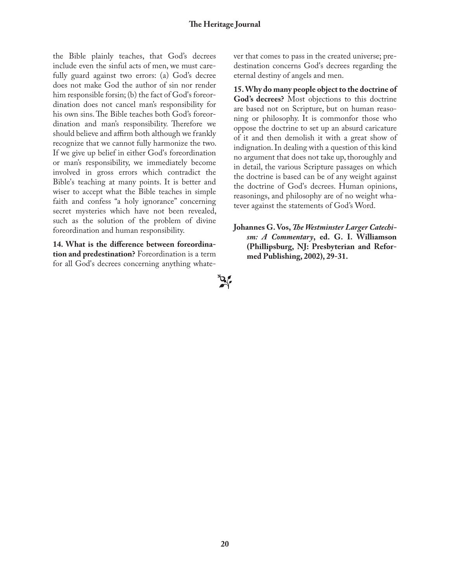the Bible plainly teaches, that God's decrees include even the sinful acts of men, we must carefully guard against two errors: (a) God's decree does not make God the author of sin nor render him responsible forsin; (b) the fact of God's foreordination does not cancel man's responsibility for his own sins.The Bible teaches both God's foreordination and man's responsibility. Therefore we should believe and affirm both although we frankly recognize that we cannot fully harmonize the two. If we give up belief in either God's foreordination or man's responsibility, we immediately become involved in gross errors which contradict the Bible's teaching at many points. It is better and wiser to accept what the Bible teaches in simple faith and confess "a holy ignorance" concerning secret mysteries which have not been revealed, such as the solution of the problem of divine foreordination and human responsibility.

**14. What is the difference between foreordination and predestination?** Foreordination is a term for all God's decrees concerning anything whatever that comes to pass in the created universe; predestination concerns God's decrees regarding the eternal destiny of angels and men.

**15.Why do many people object to the doctrine of God's decrees?** Most objections to this doctrine are based not on Scripture, but on human reasoning or philosophy. It is commonfor those who oppose the doctrine to set up an absurd caricature of it and then demolish it with a great show of indignation. In dealing with a question of this kind no argument that does not take up, thoroughly and in detail, the various Scripture passages on which the doctrine is based can be of any weight against the doctrine of God's decrees. Human opinions, reasonings, and philosophy are of no weight whatever against the statements of God's Word.

**Johannes G. Vos,***The Westminster Larger Catechism: A Commentary***, ed. G. I. Williamson (Phillipsburg, NJ: Presbyterian and Reformed Publishing, 2002), 29-31.**

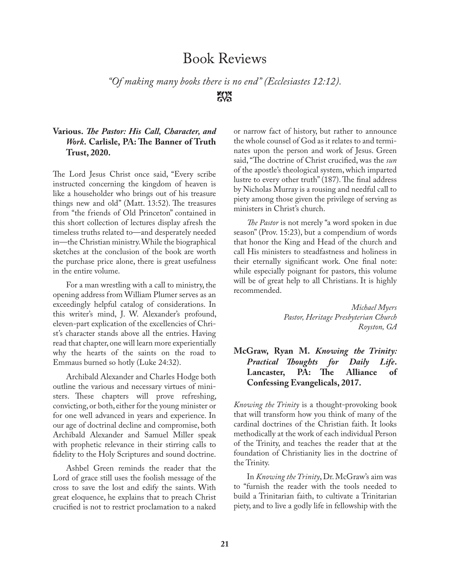### Book Reviews

*"Of making many books there is no end" (Ecclesiastes 12:12).*  $\frac{1}{2}$ 

#### **Various.** *The Pastor: His Call, Character, and Work***. Carlisle, PA: The Banner of Truth Trust, 2020.**

The Lord Jesus Christ once said, "Every scribe instructed concerning the kingdom of heaven is like a householder who brings out of his treasure things new and old" (Matt. 13:52). The treasures from "the friends of Old Princeton" contained in this short collection of lectures display afresh the timeless truths related to—and desperately needed in—the Christian ministry.While the biographical sketches at the conclusion of the book are worth the purchase price alone, there is great usefulness in the entire volume.

For a man wrestling with a call to ministry, the opening address from William Plumer serves as an exceedingly helpful catalog of considerations. In this writer's mind, J. W. Alexander's profound, eleven-part explication of the excellencies of Christ's character stands above all the entries. Having read that chapter, one will learn more experientially why the hearts of the saints on the road to Emmaus burned so hotly (Luke 24:32).

Archibald Alexander and Charles Hodge both outline the various and necessary virtues of ministers. These chapters will prove refreshing, convicting, or both, either for the young minister or for one well advanced in years and experience. In our age of doctrinal decline and compromise, both Archibald Alexander and Samuel Miller speak with prophetic relevance in their stirring calls to fidelity to the Holy Scriptures and sound doctrine.

Ashbel Green reminds the reader that the Lord of grace still uses the foolish message of the cross to save the lost and edify the saints. With great eloquence, he explains that to preach Christ crucified is not to restrict proclamation to a naked

or narrow fact of history, but rather to announce the whole counsel of God as it relates to and terminates upon the person and work of Jesus. Green said, "The doctrine of Christ crucified, was the *sun* of the apostle's theological system, which imparted lustre to every other truth" (187). The final address by Nicholas Murray is a rousing and needful call to piety among those given the privilege of serving as ministers in Christ's church.

*The Pastor* is not merely "a word spoken in due season" (Prov. 15:23), but a compendium of words that honor the King and Head of the church and call His ministers to steadfastness and holiness in their eternally significant work. One final note: while especially poignant for pastors, this volume will be of great help to all Christians. It is highly recommended.

> *Michael Myers Pastor, Heritage Presbyterian Church Royston, GA*

### **McGraw, Ryan M.** *Knowing the Trinity: Practical Thoughts for Daily Life***. Lancaster, PA: The Alliance of Confessing Evangelicals, 2017.**

*Knowing the Trinity* is a thought-provoking book that will transform how you think of many of the cardinal doctrines of the Christian faith. It looks methodically at the work of each individual Person of the Trinity, and teaches the reader that at the foundation of Christianity lies in the doctrine of the Trinity.

In *Knowing the Trinity*, Dr.McGraw's aim was to "furnish the reader with the tools needed to build a Trinitarian faith, to cultivate a Trinitarian piety, and to live a godly life in fellowship with the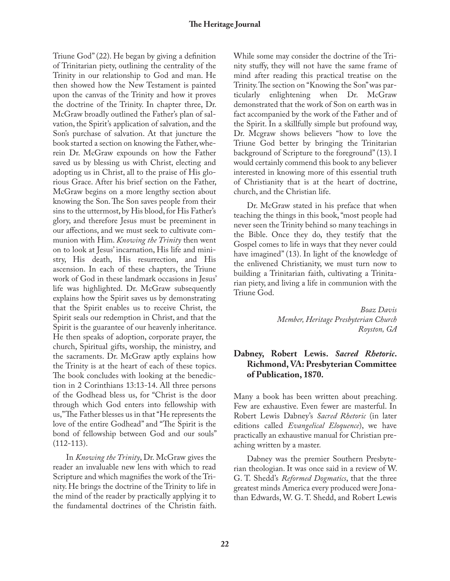Triune God" (22). He began by giving a definition of Trinitarian piety, outlining the centrality of the Trinity in our relationship to God and man. He then showed how the New Testament is painted upon the canvas of the Trinity and how it proves the doctrine of the Trinity. In chapter three, Dr. McGraw broadly outlined the Father's plan of salvation, the Spirit's application of salvation, and the Son's purchase of salvation. At that juncture the book started a section on knowing the Father, wherein Dr. McGraw expounds on how the Father saved us by blessing us with Christ, electing and adopting us in Christ, all to the praise of His glorious Grace. After his brief section on the Father, McGraw begins on a more lengthy section about knowing the Son.The Son saves people from their sins to the uttermost, by His blood, for His Father's glory, and therefore Jesus must be preeminent in our affections, and we must seek to cultivate communion with Him. *Knowing the Trinity* then went on to look at Jesus' incarnation, His life and ministry, His death, His resurrection, and His ascension. In each of these chapters, the Triune work of God in these landmark occasions in Jesus' life was highlighted. Dr. McGraw subsequently explains how the Spirit saves us by demonstrating that the Spirit enables us to receive Christ, the Spirit seals our redemption in Christ, and that the Spirit is the guarantee of our heavenly inheritance. He then speaks of adoption, corporate prayer, the church, Spiritual gifts, worship, the ministry, and the sacraments. Dr. McGraw aptly explains how the Trinity is at the heart of each of these topics. The book concludes with looking at the benediction in 2 Corinthians 13:13-14. All three persons of the Godhead bless us, for "Christ is the door through which God enters into fellowship with us,"The Father blesses us in that "He represents the love of the entire Godhead" and "The Spirit is the bond of fellowship between God and our souls"  $(112-113).$ 

In *Knowing the Trinity*, Dr. McGraw gives the reader an invaluable new lens with which to read Scripture and which magnifies the work of the Trinity. He brings the doctrine of the Trinity to life in the mind of the reader by practically applying it to the fundamental doctrines of the Christin faith. While some may consider the doctrine of the Trinity stuffy, they will not have the same frame of mind after reading this practical treatise on the Trinity.The section on "Knowing the Son"was particularly enlightening when Dr. McGraw demonstrated that the work of Son on earth was in fact accompanied by the work of the Father and of the Spirit. In a skillfully simple but profound way, Dr. Mcgraw shows believers "how to love the Triune God better by bringing the Trinitarian background of Scripture to the foreground" (13). I would certainly commend this book to any believer interested in knowing more of this essential truth of Christianity that is at the heart of doctrine, church, and the Christian life.

Dr. McGraw stated in his preface that when teaching the things in this book, "most people had never seen the Trinity behind so many teachings in the Bible. Once they do, they testify that the Gospel comes to life in ways that they never could have imagined" (13). In light of the knowledge of the enlivened Christianity, we must turn now to building a Trinitarian faith, cultivating a Trinitarian piety, and living a life in communion with the Triune God.

> *Boaz Davis Member, Heritage Presbyterian Church Royston, GA*

### **Dabney, Robert Lewis.** *Sacred Rhetoric***. Richmond, VA: Presbyterian Committee of Publication, 1870.**

Many a book has been written about preaching. Few are exhaustive. Even fewer are masterful. In Robert Lewis Dabney's *Sacred Rhetoric* (in later editions called *Evangelical Eloquence*), we have practically an exhaustive manual for Christian preaching written by a master.

Dabney was the premier Southern Presbyterian theologian. It was once said in a review of W. G. T. Shedd's *Reformed Dogmatics*, that the three greatest minds America every produced were Jonathan Edwards, W. G. T. Shedd, and Robert Lewis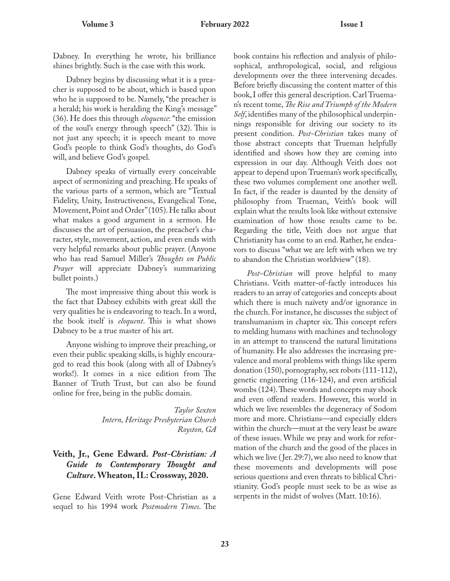Dabney. In everything he wrote, his brilliance shines brightly. Such is the case with this work.

Dabney begins by discussing what it is a preacher is supposed to be about, which is based upon who he is supposed to be. Namely, "the preacher is a herald; his work is heralding the King's message" (36). He does this through *eloquence*: "the emission of the soul's energy through speech" (32). This is not just any speech; it is speech meant to move God's people to think God's thoughts, do God's will, and believe God's gospel.

Dabney speaks of virtually every conceivable aspect of sermonizing and preaching. He speaks of the various parts of a sermon, which are "Textual Fidelity, Unity, Instructiveness, Evangelical Tone, Movement, Point and Order" (105). He talks about what makes a good argument in a sermon. He discusses the art of persuasion, the preacher's character, style, movement, action, and even ends with very helpful remarks about public prayer. (Anyone who has read Samuel Miller's *Thoughts on Public Prayer* will appreciate Dabney's summarizing bullet points.)

The most impressive thing about this work is the fact that Dabney exhibits with great skill the very qualities he is endeavoring to teach. In a word, the book itself is *eloquent*. This is what shows Dabney to be a true master of his art.

Anyone wishing to improve their preaching, or even their public speaking skills, is highly encouraged to read this book (along with all of Dabney's works!). It comes in a nice edition from The Banner of Truth Trust, but can also be found online for free, being in the public domain.

> *Taylor Sexton Intern, Heritage Presbyterian Church Royston, GA*

#### **Veith, Jr., Gene Edward.** *Post-Christian: A Guide to Contemporary Thought and Culture***.Wheaton, IL: Crossway, 2020.**

Gene Edward Veith wrote Post-Christian as a sequel to his 1994 work *Postmodern Times*. The book contains his reflection and analysis of philosophical, anthropological, social, and religious developments over the three intervening decades. Before briefly discussing the content matter of this book, I offer this general description. Carl Trueman's recent tome, *The Rise and Triumph of the Modern Self*, identifies many of the philosophical underpinnings responsible for driving our society to its present condition. *Post-Christian* takes many of those abstract concepts that Trueman helpfully identified and shows how they are coming into expression in our day. Although Veith does not appear to depend upon Trueman's work specifically, these two volumes complement one another well. In fact, if the reader is daunted by the density of philosophy from Trueman, Veith's book will explain what the results look like without extensive examination of how those results came to be. Regarding the title, Veith does not argue that Christianity has come to an end. Rather, he endeavors to discuss "what we are left with when we try to abandon the Christian worldview" (18).

*Post-Christian* will prove helpful to many Christians. Veith matter-of-factly introduces his readers to an array of categories and concepts about which there is much naïvety and/or ignorance in the church. For instance, he discusses the subject of transhumanism in chapter six. This concept refers to melding humans with machines and technology in an attempt to transcend the natural limitations of humanity. He also addresses the increasing prevalence and moral problems with things like sperm donation (150), pornography, sex robots (111-112), genetic engineering (116-124), and even artificial wombs (124).These words and concepts may shock and even offend readers. However, this world in which we live resembles the degeneracy of Sodom more and more. Christians—and especially elders within the church—must at the very least be aware of these issues. While we pray and work for reformation of the church and the good of the places in which we live ( Jer. 29:7), we also need to know that these movements and developments will pose serious questions and even threats to biblical Christianity. God's people must seek to be as wise as serpents in the midst of wolves (Matt. 10:16).